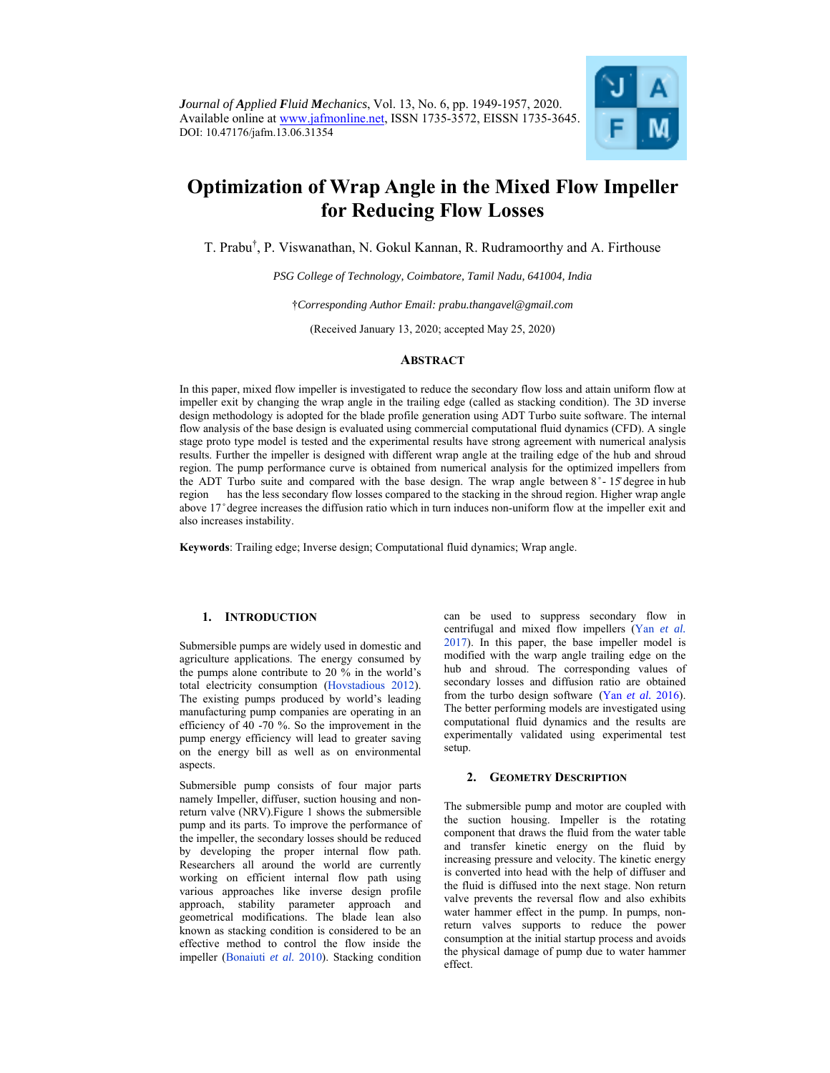

# **Optimization of Wrap Angle in the Mixed Flow Impeller for Reducing Flow Losses**

T. Prabu† , P. Viswanathan, N. Gokul Kannan, R. Rudramoorthy and A. Firthouse

*PSG College of Technology, Coimbatore, Tamil Nadu, 641004, India* 

†*Corresponding Author Email: prabu.thangavel@gmail.com* 

(Received January 13, 2020; accepted May 25, 2020)

## **ABSTRACT**

In this paper, mixed flow impeller is investigated to reduce the secondary flow loss and attain uniform flow at impeller exit by changing the wrap angle in the trailing edge (called as stacking condition). The 3D inverse design methodology is adopted for the blade profile generation using ADT Turbo suite software. The internal flow analysis of the base design is evaluated using commercial computational fluid dynamics (CFD). A single stage proto type model is tested and the experimental results have strong agreement with numerical analysis results. Further the impeller is designed with different wrap angle at the trailing edge of the hub and shroud region. The pump performance curve is obtained from numerical analysis for the optimized impellers from the ADT Turbo suite and compared with the base design. The wrap angle between 8°-15° degree in hub region has the less secondary flow losses compared to the stacking in the shroud region. Higher wrap angle above 17 ̊ degree increases the diffusion ratio which in turn induces non-uniform flow at the impeller exit and also increases instability.

**Keywords**: Trailing edge; Inverse design; Computational fluid dynamics; Wrap angle.

# **1. INTRODUCTION**

Submersible pumps are widely used in domestic and agriculture applications. The energy consumed by the pumps alone contribute to 20 % in the world's total electricity consumption (Hovstadious 2012). The existing pumps produced by world's leading manufacturing pump companies are operating in an efficiency of 40 -70 %. So the improvement in the pump energy efficiency will lead to greater saving on the energy bill as well as on environmental aspects.

Submersible pump consists of four major parts namely Impeller, diffuser, suction housing and nonreturn valve (NRV).Figure 1 shows the submersible pump and its parts. To improve the performance of the impeller, the secondary losses should be reduced by developing the proper internal flow path. Researchers all around the world are currently working on efficient internal flow path using various approaches like inverse design profile approach, stability parameter approach and geometrical modifications. The blade lean also known as stacking condition is considered to be an effective method to control the flow inside the impeller (Bonaiuti *et al.* 2010). Stacking condition can be used to suppress secondary flow in centrifugal and mixed flow impellers (Yan *et al.* 2017). In this paper, the base impeller model is modified with the warp angle trailing edge on the hub and shroud. The corresponding values of secondary losses and diffusion ratio are obtained from the turbo design software (Yan *et al.* 2016). The better performing models are investigated using computational fluid dynamics and the results are experimentally validated using experimental test setup.

#### **2. GEOMETRY DESCRIPTION**

The submersible pump and motor are coupled with the suction housing. Impeller is the rotating component that draws the fluid from the water table and transfer kinetic energy on the fluid by increasing pressure and velocity. The kinetic energy is converted into head with the help of diffuser and the fluid is diffused into the next stage. Non return valve prevents the reversal flow and also exhibits water hammer effect in the pump. In pumps, nonreturn valves supports to reduce the power consumption at the initial startup process and avoids the physical damage of pump due to water hammer effect.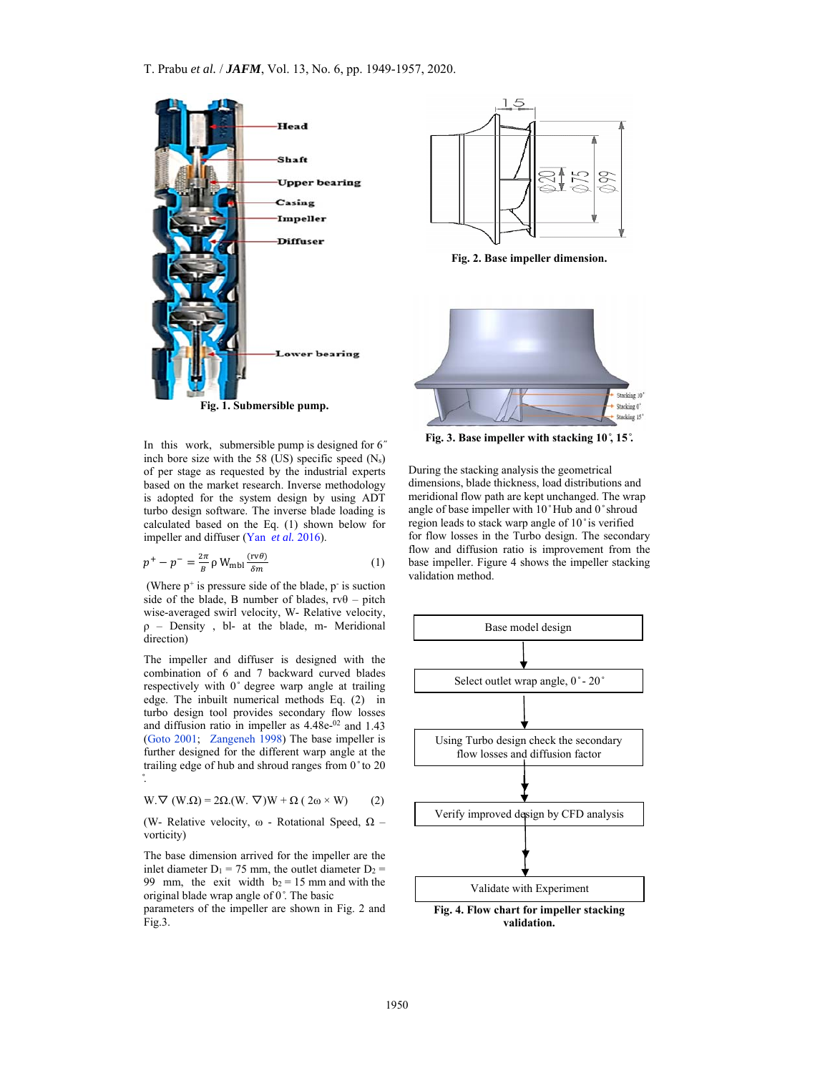

In this work, submersible pump is designed for 6" inch bore size with the 58 (US) specific speed  $(N_s)$ of per stage as requested by the industrial experts based on the market research. Inverse methodology is adopted for the system design by using ADT turbo design software. The inverse blade loading is calculated based on the Eq. (1) shown below for impeller and diffuser (Yan *et al.* 2016).

$$
p^{+} - p^{-} = \frac{2\pi}{B} \rho \, W_{\text{mbl}} \frac{(rv\theta)}{\delta m} \tag{1}
$$

(Where  $p^+$  is pressure side of the blade,  $p^-$  is suction side of the blade, B number of blades,  $rv\theta$  – pitch wise-averaged swirl velocity, W- Relative velocity, ρ – Density , bl- at the blade, m- Meridional direction)

The impeller and diffuser is designed with the combination of 6 and 7 backward curved blades respectively with  $0^{\circ}$  degree warp angle at trailing edge. The inbuilt numerical methods Eq. (2) in turbo design tool provides secondary flow losses and diffusion ratio in impeller as 4.48e-02 and 1.43 (Goto 2001; Zangeneh 1998) The base impeller is further designed for the different warp angle at the trailing edge of hub and shroud ranges from  $0°$  to 20 ̊.

$$
W.\nabla (W.\Omega) = 2\Omega.(W.\nabla)W + \Omega (2\omega \times W) \qquad (2)
$$

(W- Relative velocity,  $ω$  - Rotational Speed,  $Ω$  – vorticity)

The base dimension arrived for the impeller are the inlet diameter  $D_1 = 75$  mm, the outlet diameter  $D_2 =$ 99 mm, the exit width  $b_2 = 15$  mm and with the original blade wrap angle of 0°. The basic

parameters of the impeller are shown in Fig. 2 and Fig.3.



**Fig. 2. Base impeller dimension.** 



**Fig. 3. Base impeller with stacking 10 ̊, 15 ̊.** 

During the stacking analysis the geometrical dimensions, blade thickness, load distributions and meridional flow path are kept unchanged. The wrap angle of base impeller with 10°Hub and 0°shroud region leads to stack warp angle of 10 ̊ is verified for flow losses in the Turbo design. The secondary flow and diffusion ratio is improvement from the base impeller. Figure 4 shows the impeller stacking validation method.



**validation.**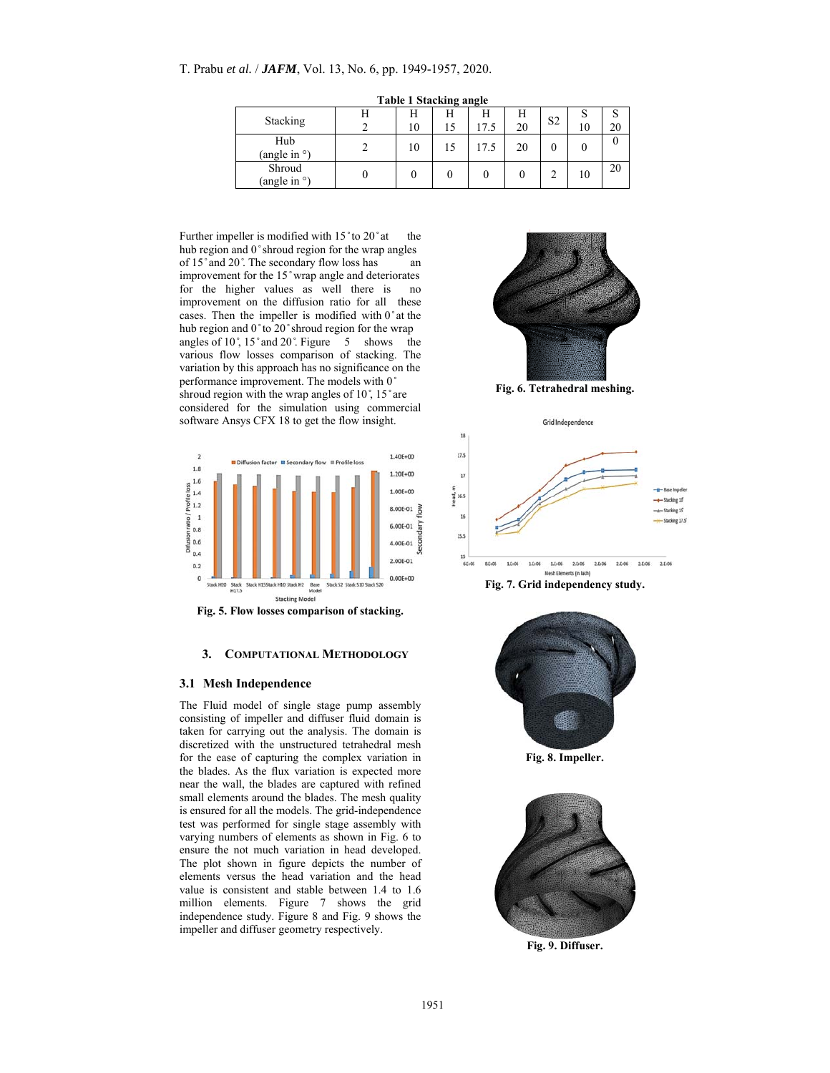|                              |   |    | - | -    |    |                |    |    |
|------------------------------|---|----|---|------|----|----------------|----|----|
| Stacking                     | п | Н  |   | Н    | Н  | S <sub>2</sub> | د  |    |
|                              |   | 10 |   | 17.5 | 20 |                | 10 |    |
| Hub<br>(angle in $\degree$ ) |   | 10 |   | 17.5 | 20 |                |    |    |
| Shroud<br>(angle in °)       |   |    |   |      |    | ∸              | 10 | 20 |

**Table 1 Stacking angle** 

Further impeller is modified with  $15°$  to  $20°$  at the hub region and 0° shroud region for the wrap angles of 15° and 20°. The secondary flow loss has an improvement for the 15 ̊ wrap angle and deteriorates for the higher values as well there is no improvement on the diffusion ratio for all these cases. Then the impeller is modified with  $0°$  at the hub region and 0° to 20° shroud region for the wrap angles of 10°, 15° and 20°. Figure 5 shows the various flow losses comparison of stacking. The variation by this approach has no significance on the performance improvement. The models with 0° shroud region with the wrap angles of 10°, 15° are considered for the simulation using commercial software Ansys CFX 18 to get the flow insight.



**Fig. 5. Flow losses comparison of stacking.** 

# **3. COMPUTATIONAL METHODOLOGY**

# **3.1 Mesh Independence**

The Fluid model of single stage pump assembly consisting of impeller and diffuser fluid domain is taken for carrying out the analysis. The domain is discretized with the unstructured tetrahedral mesh for the ease of capturing the complex variation in the blades. As the flux variation is expected more near the wall, the blades are captured with refined small elements around the blades. The mesh quality is ensured for all the models. The grid-independence test was performed for single stage assembly with varying numbers of elements as shown in Fig. 6 to ensure the not much variation in head developed. The plot shown in figure depicts the number of elements versus the head variation and the head value is consistent and stable between 1.4 to 1.6 million elements. Figure 7 shows the grid independence study. Figure 8 and Fig. 9 shows the impeller and diffuser geometry respectively.



**Fig. 6. Tetrahedral meshing.** 



**Fig. 7. Grid independency study.** 



**Fig. 8. Impeller.** 



**Fig. 9. Diffuser.**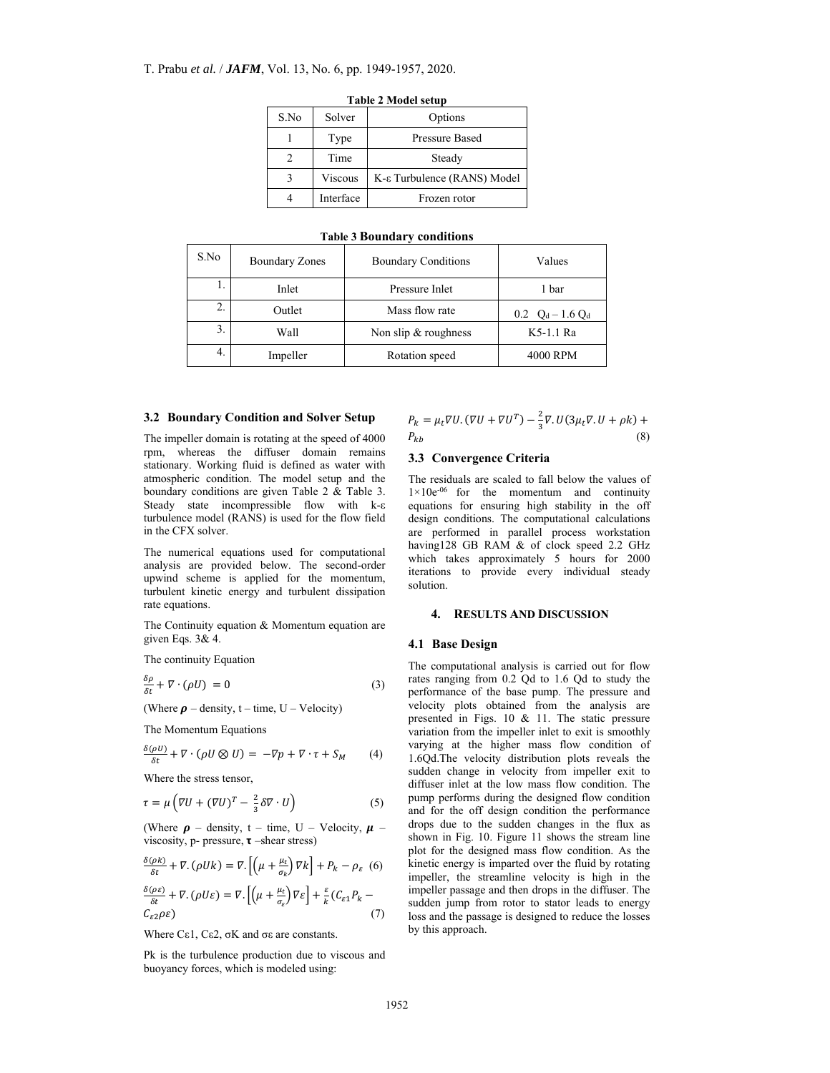# T. Prabu *et al.* / *JAFM*, Vol. 13, No. 6, pp. 1949-1957, 2020.

| S.No | Solver                    | Options                     |
|------|---------------------------|-----------------------------|
|      | Type                      | <b>Pressure Based</b>       |
|      | Time                      | Steady                      |
|      | Viscous                   | K-ε Turbulence (RANS) Model |
|      | Interface<br>Frozen rotor |                             |

**Table 2 Model setup** 

| S.No | <b>Boundary Zones</b> | <b>Boundary Conditions</b> | Values |
|------|-----------------------|----------------------------|--------|
|      |                       |                            |        |

**Table 3 Boundary conditions** 

|    | Inlet    | Pressure Inlet         | 1 bar               |  |
|----|----------|------------------------|---------------------|--|
| 2. | Outlet   | Mass flow rate         | 0.2 $Q_d - 1.6 Q_d$ |  |
| 3. | Wall     | Non slip $&$ roughness | K5-1.1 Ra           |  |
| 4. | Impeller | Rotation speed         | 4000 RPM            |  |

#### **3.2 Boundary Condition and Solver Setup**

The impeller domain is rotating at the speed of 4000 rpm, whereas the diffuser domain remains stationary. Working fluid is defined as water with atmospheric condition. The model setup and the boundary conditions are given Table 2 & Table 3. Steady state incompressible flow with k-ε turbulence model (RANS) is used for the flow field in the CFX solver.

The numerical equations used for computational analysis are provided below. The second-order upwind scheme is applied for the momentum, turbulent kinetic energy and turbulent dissipation rate equations.

The Continuity equation & Momentum equation are given Eqs. 3& 4.

The continuity Equation

$$
\frac{\delta \rho}{\delta t} + \nabla \cdot (\rho U) = 0 \tag{3}
$$

(Where  $\rho$  – density, t – time, U – Velocity)

The Momentum Equations

$$
\frac{\delta(\rho U)}{\delta t} + \nabla \cdot (\rho U \otimes U) = -\nabla p + \nabla \cdot \tau + S_M \qquad (4)
$$

Where the stress tensor,

$$
\tau = \mu \left( \nabla U + (\nabla U)^{T} - \frac{2}{3} \delta \nabla \cdot U \right)
$$
 (5)

(Where  $\rho$  – density, t – time, U – Velocity,  $\mu$  – viscosity, p- pressure,  $\tau$  –shear stress)

$$
\frac{\delta(\rho k)}{\delta t} + \nabla \cdot (\rho U k) = \nabla \cdot \left[ \left( \mu + \frac{\mu_t}{\sigma_k} \right) \nabla k \right] + P_k - \rho_{\varepsilon} \tag{6}
$$

$$
\frac{\delta(\rho \varepsilon)}{\delta t} + \nabla \cdot (\rho U \varepsilon) = \nabla \cdot \left[ \left( \mu + \frac{\mu_t}{\sigma_\varepsilon} \right) \nabla \varepsilon \right] + \frac{\varepsilon}{k} \left( C_{\varepsilon 1} P_k - C_{\varepsilon 2} \rho \varepsilon \right) \tag{7}
$$

Where Cε1, Cε2, σK and σε are constants.

Pk is the turbulence production due to viscous and buoyancy forces, which is modeled using:

$$
P_k = \mu_t \nabla U. (\nabla U + \nabla U^T) - \frac{2}{3} \nabla . U(3\mu_t \nabla . U + \rho k) +
$$
  
(8)

## **3.3 Convergence Criteria**

The residuals are scaled to fall below the values of  $1 \times 10e^{-06}$  for the momentum and continuity equations for ensuring high stability in the off design conditions. The computational calculations are performed in parallel process workstation having128 GB RAM & of clock speed 2.2 GHz which takes approximately 5 hours for 2000 iterations to provide every individual steady solution.

#### **4. RESULTS AND DISCUSSION**

#### **4.1 Base Design**

The computational analysis is carried out for flow rates ranging from 0.2 Qd to 1.6 Qd to study the performance of the base pump. The pressure and velocity plots obtained from the analysis are presented in Figs. 10 & 11. The static pressure variation from the impeller inlet to exit is smoothly varying at the higher mass flow condition of 1.6Qd.The velocity distribution plots reveals the sudden change in velocity from impeller exit to diffuser inlet at the low mass flow condition. The pump performs during the designed flow condition and for the off design condition the performance drops due to the sudden changes in the flux as shown in Fig. 10. Figure 11 shows the stream line plot for the designed mass flow condition. As the kinetic energy is imparted over the fluid by rotating impeller, the streamline velocity is high in the impeller passage and then drops in the diffuser. The sudden jump from rotor to stator leads to energy loss and the passage is designed to reduce the losses by this approach.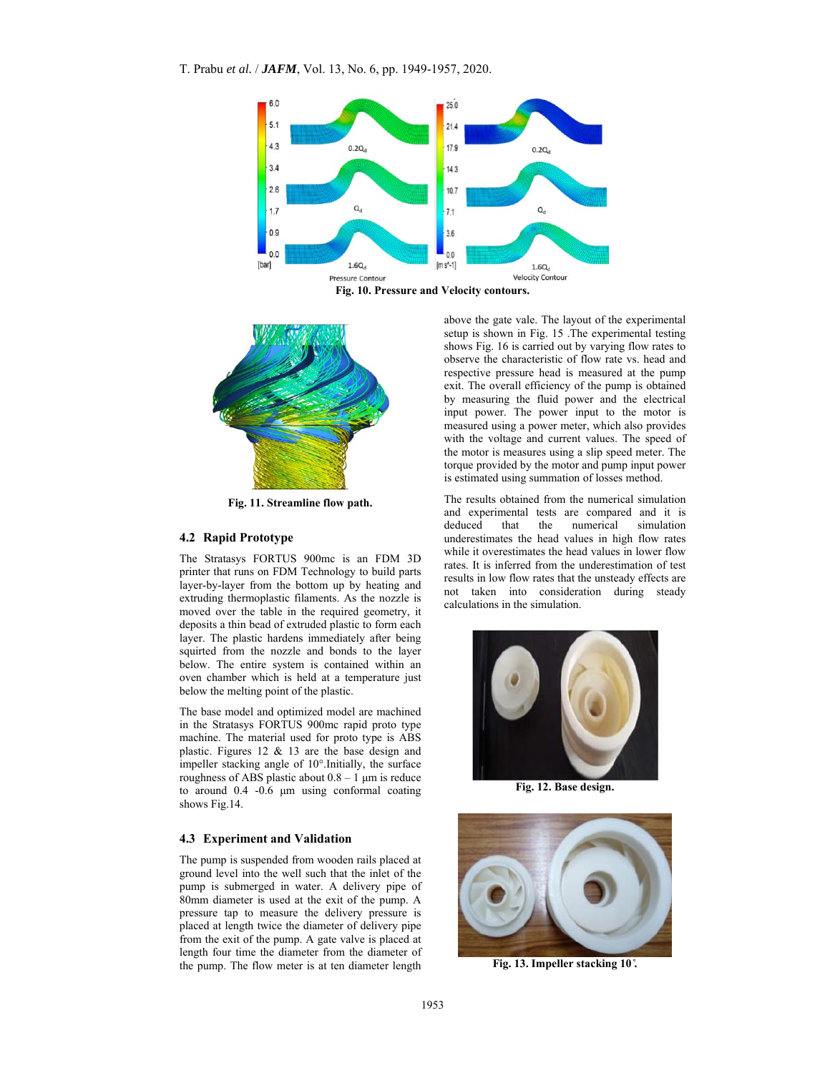T. Prabu *et al.* / *JAFM*, Vol. 13, No. 6, pp. 1949-1957, 2020.



**Fig. 10. Pressure and Velocity contours.** 



**Fig. 11. Streamline flow path.** 

# **4.2 Rapid Prototype**

The Stratasys FORTUS 900mc is an FDM 3D printer that runs on FDM Technology to build parts layer-by-layer from the bottom up by heating and extruding thermoplastic filaments. As the nozzle is moved over the table in the required geometry, it deposits a thin bead of extruded plastic to form each layer. The plastic hardens immediately after being squirted from the nozzle and bonds to the layer below. The entire system is contained within an oven chamber which is held at a temperature just below the melting point of the plastic.

The base model and optimized model are machined in the Stratasys FORTUS 900mc rapid proto type machine. The material used for proto type is ABS plastic. Figures 12 & 13 are the base design and impeller stacking angle of 10°.Initially, the surface roughness of ABS plastic about  $0.8 - 1$  μm is reduce to around 0.4 -0.6 μm using conformal coating shows Fig.14.

## **4.3 Experiment and Validation**

The pump is suspended from wooden rails placed at ground level into the well such that the inlet of the pump is submerged in water. A delivery pipe of 80mm diameter is used at the exit of the pump. A pressure tap to measure the delivery pressure is placed at length twice the diameter of delivery pipe from the exit of the pump. A gate valve is placed at length four time the diameter from the diameter of the pump. The flow meter is at ten diameter length

above the gate vale. The layout of the experimental setup is shown in Fig. 15 .The experimental testing shows Fig. 16 is carried out by varying flow rates to observe the characteristic of flow rate vs. head and respective pressure head is measured at the pump exit. The overall efficiency of the pump is obtained by measuring the fluid power and the electrical input power. The power input to the motor is measured using a power meter, which also provides with the voltage and current values. The speed of the motor is measures using a slip speed meter. The torque provided by the motor and pump input power is estimated using summation of losses method.

The results obtained from the numerical simulation and experimental tests are compared and it is deduced that the numerical simulation deduced that the numerical simulation underestimates the head values in high flow rates while it overestimates the head values in lower flow rates. It is inferred from the underestimation of test results in low flow rates that the unsteady effects are not taken into consideration during steady calculations in the simulation.



**Fig. 12. Base design.** 



**Fig. 13. Impeller stacking 10 ̊.**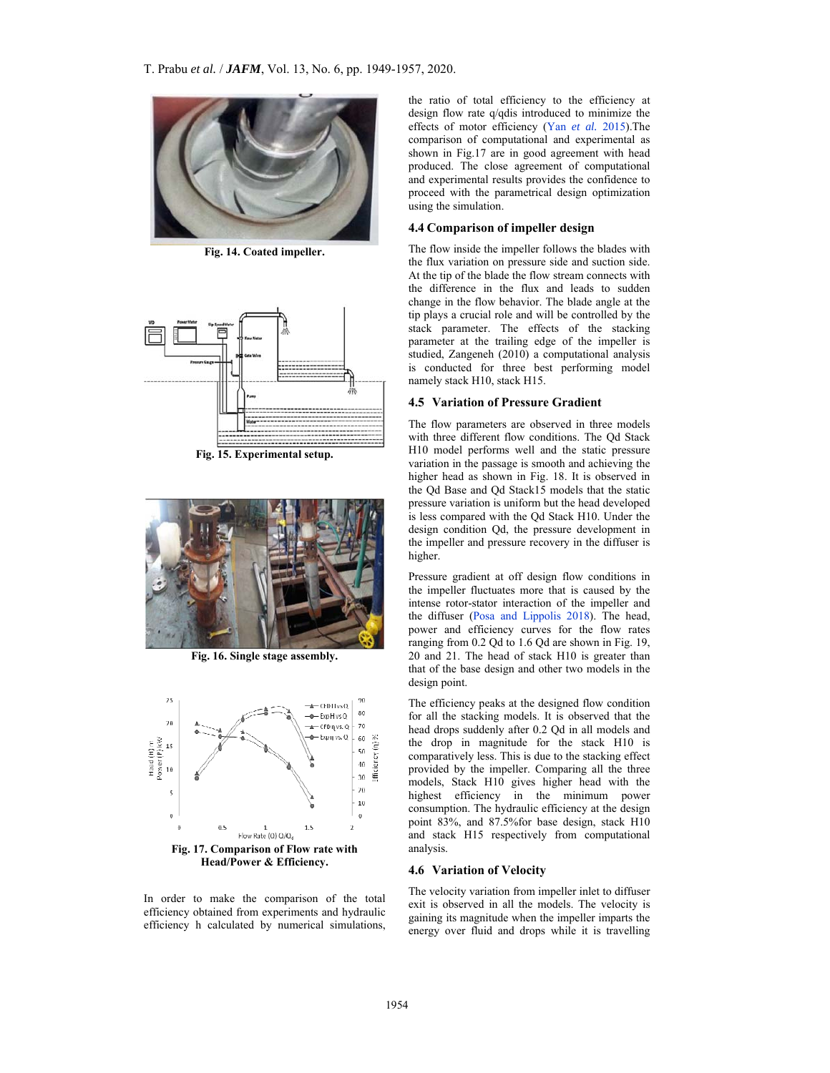

**Fig. 14. Coated impeller.** 



**Fig. 15. Experimental setup.** 



**Fig. 16. Single stage assembly.** 



In order to make the comparison of the total efficiency obtained from experiments and hydraulic efficiency h calculated by numerical simulations,

the ratio of total efficiency to the efficiency at design flow rate q/qdis introduced to minimize the effects of motor efficiency (Yan *et al.* 2015).The comparison of computational and experimental as shown in Fig.17 are in good agreement with head produced. The close agreement of computational and experimental results provides the confidence to proceed with the parametrical design optimization using the simulation.

#### **4.4 Comparison of impeller design**

The flow inside the impeller follows the blades with the flux variation on pressure side and suction side. At the tip of the blade the flow stream connects with the difference in the flux and leads to sudden change in the flow behavior. The blade angle at the tip plays a crucial role and will be controlled by the stack parameter. The effects of the stacking parameter at the trailing edge of the impeller is studied, Zangeneh (2010) a computational analysis is conducted for three best performing model namely stack H10, stack H15.

## **4.5 Variation of Pressure Gradient**

The flow parameters are observed in three models with three different flow conditions. The Qd Stack H10 model performs well and the static pressure variation in the passage is smooth and achieving the higher head as shown in Fig. 18. It is observed in the Qd Base and Qd Stack15 models that the static pressure variation is uniform but the head developed is less compared with the Qd Stack H10. Under the design condition Qd, the pressure development in the impeller and pressure recovery in the diffuser is higher.

Pressure gradient at off design flow conditions in the impeller fluctuates more that is caused by the intense rotor-stator interaction of the impeller and the diffuser (Posa and Lippolis 2018). The head, power and efficiency curves for the flow rates ranging from 0.2 Qd to 1.6 Qd are shown in Fig. 19, 20 and 21. The head of stack H10 is greater than that of the base design and other two models in the design point.

The efficiency peaks at the designed flow condition for all the stacking models. It is observed that the head drops suddenly after 0.2 Qd in all models and the drop in magnitude for the stack H10 is comparatively less. This is due to the stacking effect provided by the impeller. Comparing all the three models, Stack H10 gives higher head with the highest efficiency in the minimum power consumption. The hydraulic efficiency at the design point 83%, and 87.5%for base design, stack H10 and stack H15 respectively from computational analysis.

## **4.6 Variation of Velocity**

The velocity variation from impeller inlet to diffuser exit is observed in all the models. The velocity is gaining its magnitude when the impeller imparts the energy over fluid and drops while it is travelling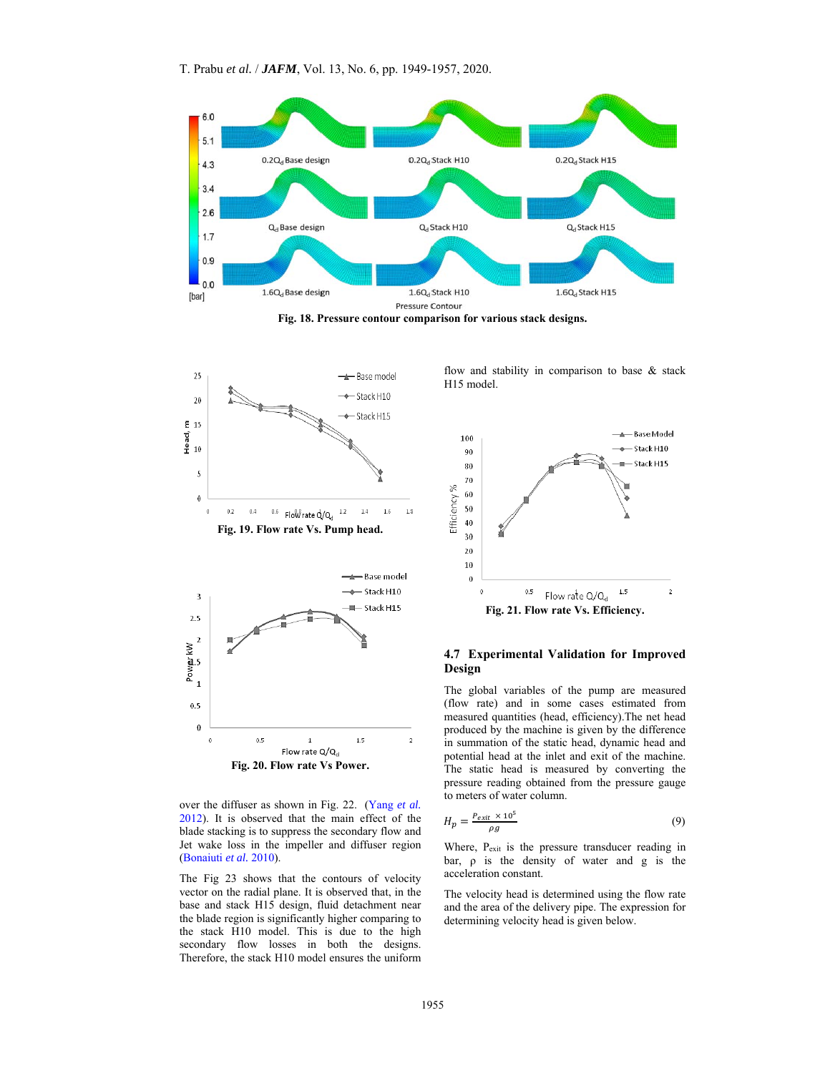

**Fig. 18. Pressure contour comparison for various stack designs.** 



over the diffuser as shown in Fig. 22. (Yang *et al.* 2012). It is observed that the main effect of the blade stacking is to suppress the secondary flow and Jet wake loss in the impeller and diffuser region (Bonaiuti *et al.* 2010).

The Fig 23 shows that the contours of velocity vector on the radial plane. It is observed that, in the base and stack H15 design, fluid detachment near the blade region is significantly higher comparing to the stack H10 model. This is due to the high secondary flow losses in both the designs. Therefore, the stack H10 model ensures the uniform

flow and stability in comparison to base & stack H15 model.



# **4.7 Experimental Validation for Improved Design**

The global variables of the pump are measured (flow rate) and in some cases estimated from measured quantities (head, efficiency).The net head produced by the machine is given by the difference in summation of the static head, dynamic head and potential head at the inlet and exit of the machine. The static head is measured by converting the pressure reading obtained from the pressure gauge to meters of water column.

$$
H_p = \frac{P_{exit} \times 10^5}{\rho g} \tag{9}
$$

Where, Pexit is the pressure transducer reading in bar, ρ is the density of water and g is the acceleration constant.

The velocity head is determined using the flow rate and the area of the delivery pipe. The expression for determining velocity head is given below.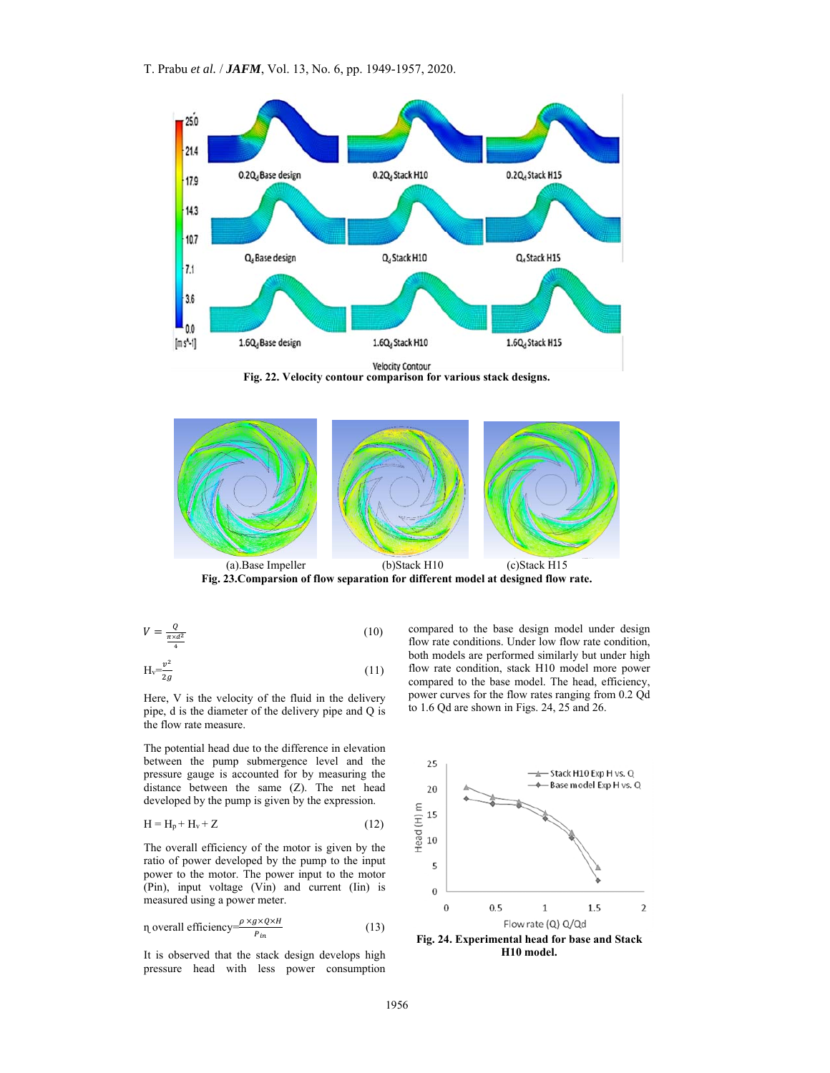

**Fig. 22. Velocity contour comparison for various stack designs.** 



**Fig. 23.Comparsion of flow separation for different model at designed flow rate.** 

$$
V = \frac{Q}{\frac{\pi \times d^2}{4}}\tag{10}
$$

$$
H_v = \frac{v^2}{2g} \tag{11}
$$

Here, V is the velocity of the fluid in the delivery pipe, d is the diameter of the delivery pipe and Q is the flow rate measure.

The potential head due to the difference in elevation between the pump submergence level and the pressure gauge is accounted for by measuring the distance between the same (Z). The net head developed by the pump is given by the expression.

$$
H = H_p + H_v + Z \tag{12}
$$

The overall efficiency of the motor is given by the ratio of power developed by the pump to the input power to the motor. The power input to the motor (Pin), input voltage (Vin) and current (Iin) is measured using a power meter.

$$
n\text{ overall efficiency} = \frac{\rho \times g \times Q \times H}{p_{in}} \tag{13}
$$

It is observed that the stack design develops high pressure head with less power consumption compared to the base design model under design flow rate conditions. Under low flow rate condition, both models are performed similarly but under high flow rate condition, stack H10 model more power compared to the base model. The head, efficiency, power curves for the flow rates ranging from 0.2 Qd to 1.6 Qd are shown in Figs. 24, 25 and 26.



**Fig. 24. Experimental head for base and Stack H10 model.**